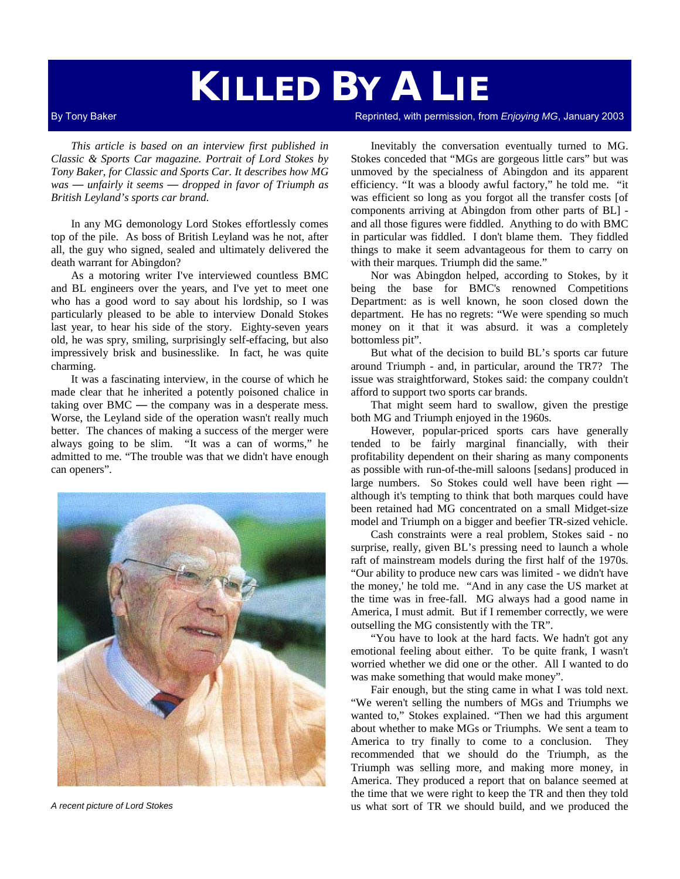# **KILLED BY A LIE**

*This article is based on an interview first published in Classic & Sports Car magazine. Portrait of Lord Stokes by Tony Baker, for Classic and Sports Car. It describes how MG was — unfairly it seems — dropped in favor of Triumph as British Leyland's sports car brand.* 

In any MG demonology Lord Stokes effortlessly comes top of the pile. As boss of British Leyland was he not, after all, the guy who signed, sealed and ultimately delivered the death warrant for Abingdon?

As a motoring writer I've interviewed countless BMC and BL engineers over the years, and I've yet to meet one who has a good word to say about his lordship, so I was particularly pleased to be able to interview Donald Stokes last year, to hear his side of the story. Eighty-seven years old, he was spry, smiling, surprisingly self-effacing, but also impressively brisk and businesslike. In fact, he was quite charming.

It was a fascinating interview, in the course of which he made clear that he inherited a potently poisoned chalice in taking over BMC — the company was in a desperate mess. Worse, the Leyland side of the operation wasn't really much better. The chances of making a success of the merger were always going to be slim. "It was a can of worms," he admitted to me. "The trouble was that we didn't have enough can openers".



By Tony Baker **Reprinted, with permission, from** *Enjoying MG***, January 2003** Reprinted, with permission, from *Enjoying MG*, January 2003

Inevitably the conversation eventually turned to MG. Stokes conceded that "MGs are gorgeous little cars" but was unmoved by the specialness of Abingdon and its apparent efficiency. "It was a bloody awful factory," he told me. "it was efficient so long as you forgot all the transfer costs [of components arriving at Abingdon from other parts of BL] and all those figures were fiddled. Anything to do with BMC in particular was fiddled. I don't blame them. They fiddled things to make it seem advantageous for them to carry on with their marques. Triumph did the same."

Nor was Abingdon helped, according to Stokes, by it being the base for BMC's renowned Competitions Department: as is well known, he soon closed down the department. He has no regrets: "We were spending so much money on it that it was absurd. it was a completely bottomless pit".

But what of the decision to build BL's sports car future around Triumph - and, in particular, around the TR7? The issue was straightforward, Stokes said: the company couldn't afford to support two sports car brands.

That might seem hard to swallow, given the prestige both MG and Triumph enjoyed in the 1960s.

However, popular-priced sports cars have generally tended to be fairly marginal financially, with their profitability dependent on their sharing as many components as possible with run-of-the-mill saloons [sedans] produced in large numbers. So Stokes could well have been right although it's tempting to think that both marques could have been retained had MG concentrated on a small Midget-size model and Triumph on a bigger and beefier TR-sized vehicle.

Cash constraints were a real problem, Stokes said - no surprise, really, given BL's pressing need to launch a whole raft of mainstream models during the first half of the 1970s. "Our ability to produce new cars was limited - we didn't have the money,' he told me. "And in any case the US market at the time was in free-fall. MG always had a good name in America, I must admit. But if I remember correctly, we were outselling the MG consistently with the TR".

"You have to look at the hard facts. We hadn't got any emotional feeling about either. To be quite frank, I wasn't worried whether we did one or the other. All I wanted to do was make something that would make money".

Fair enough, but the sting came in what I was told next. "We weren't selling the numbers of MGs and Triumphs we wanted to," Stokes explained. "Then we had this argument about whether to make MGs or Triumphs. We sent a team to America to try finally to come to a conclusion. They recommended that we should do the Triumph, as the Triumph was selling more, and making more money, in America. They produced a report that on balance seemed at the time that we were right to keep the TR and then they told *A recent picture of Lord Stokes* us what sort of TR we should build, and we produced the